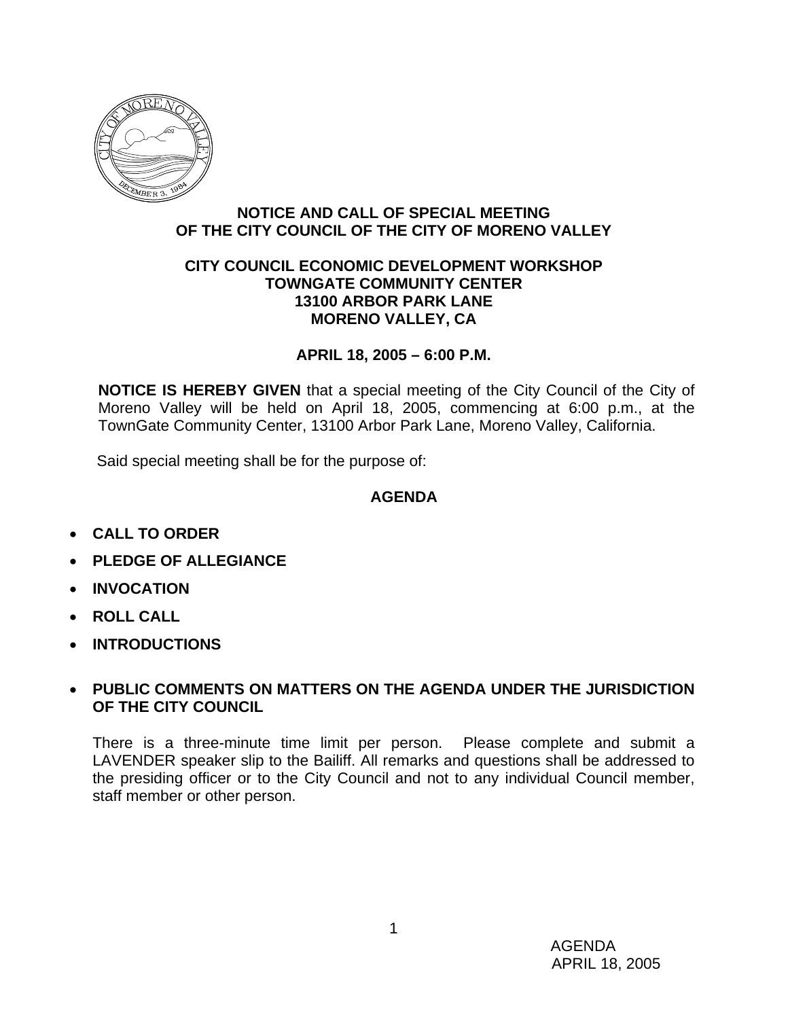

## **NOTICE AND CALL OF SPECIAL MEETING OF THE CITY COUNCIL OF THE CITY OF MORENO VALLEY**

### **CITY COUNCIL ECONOMIC DEVELOPMENT WORKSHOP TOWNGATE COMMUNITY CENTER 13100 ARBOR PARK LANE MORENO VALLEY, CA**

## **APRIL 18, 2005 – 6:00 P.M.**

**NOTICE IS HEREBY GIVEN** that a special meeting of the City Council of the City of Moreno Valley will be held on April 18, 2005, commencing at 6:00 p.m., at the TownGate Community Center, 13100 Arbor Park Lane, Moreno Valley, California.

Said special meeting shall be for the purpose of:

# **AGENDA**

- **CALL TO ORDER**
- **PLEDGE OF ALLEGIANCE**
- **INVOCATION**
- **ROLL CALL**
- **INTRODUCTIONS**

## • **PUBLIC COMMENTS ON MATTERS ON THE AGENDA UNDER THE JURISDICTION OF THE CITY COUNCIL**

There is a three-minute time limit per person. Please complete and submit a LAVENDER speaker slip to the Bailiff. All remarks and questions shall be addressed to the presiding officer or to the City Council and not to any individual Council member, staff member or other person.